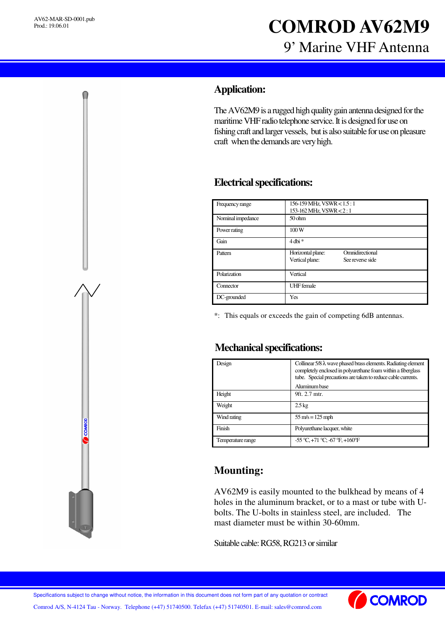# **COMROD AV62M9** 9' Marine VHF Antenna

### **Application:**

The AV62M9 is a rugged high quality gain antenna designed for the maritime VHF radio telephone service. It is designed for use on fishing craft and larger vessels, but is also suitable for use on pleasure craft when the demands are very high.

#### **Electricalspecifications:**

| Frequency range   | 156-159 MHz, VSWR < 1.5 : 1<br>153-162 MHz, VSWR < 2:1                      |
|-------------------|-----------------------------------------------------------------------------|
| Nominal impedance | 50 <sub>ohm</sub>                                                           |
| Power rating      | 100W                                                                        |
| Gain              | $4$ dbi $*$                                                                 |
| Pattern           | Omnidirectional<br>Horizontal plane:<br>Vertical plane:<br>See reverse side |
| Polarization      | Vertical                                                                    |
| Connector         | <b>UHF</b> female                                                           |
| DC-grounded       | Yes                                                                         |

\*: This equals or exceeds the gain of competing 6dB antennas.

#### **Mechanical specifications:**

| Design            | Collinear $5/8 \lambda$ wave phased brass elements. Radiating element<br>completely enclosed in polyurethane foam within a fiberglass<br>tube. Special precautions are taken to reduce cable currents. |
|-------------------|--------------------------------------------------------------------------------------------------------------------------------------------------------------------------------------------------------|
|                   | Aluminum base                                                                                                                                                                                          |
| Height            | 9ft. 2.7 mtr.                                                                                                                                                                                          |
| Weight            | $2.5 \text{ kg}$                                                                                                                                                                                       |
| Wind rating       | $55 \text{ m/s} = 125 \text{ mph}$                                                                                                                                                                     |
| Finish            | Polyurethane lacquer, white                                                                                                                                                                            |
| Temperature range | $-55^{\circ}$ C, $+71^{\circ}$ C; $-67^{\circ}$ F, $+160^{\circ}$ F                                                                                                                                    |

## **Mounting:**

AV62M9 is easily mounted to the bulkhead by means of 4 holes in the aluminum bracket, or to a mast or tube with Ubolts. The U-bolts in stainless steel, are included. The mast diameter must be within 30-60mm.

Suitable cable: RG58, RG213 or similar

Comrod A/S, N-4124 Tau - Norway. Telephone (+47) 51740500. Telefax (+47) 51740501. E-mail: sales@comrod.com Specifications subject to change without notice, the information in this document does not form part of any quotation or contract